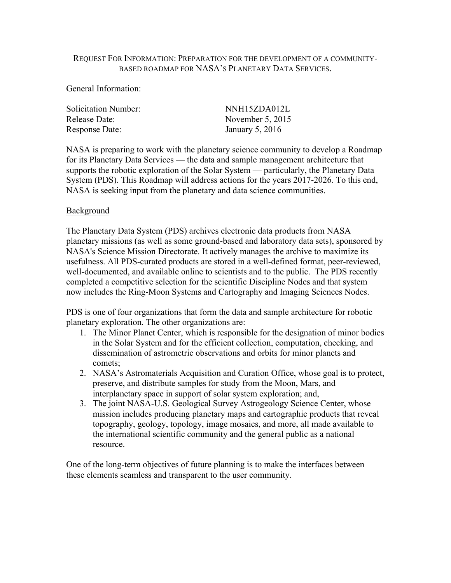### REQUEST FOR INFORMATION: PREPARATION FOR THE DEVELOPMENT OF A COMMUNITY-BASED ROADMAP FOR NASA'S PLANETARY DATA SERVICES.

#### General Information:

| NNH15ZDA012L       |
|--------------------|
| November $5, 2015$ |
| January 5, $2016$  |
|                    |

NASA is preparing to work with the planetary science community to develop a Roadmap for its Planetary Data Services — the data and sample management architecture that supports the robotic exploration of the Solar System — particularly, the Planetary Data System (PDS). This Roadmap will address actions for the years 2017-2026. To this end, NASA is seeking input from the planetary and data science communities.

## Background

The Planetary Data System (PDS) archives electronic data products from NASA planetary missions (as well as some ground-based and laboratory data sets), sponsored by NASA's Science Mission Directorate. It actively manages the archive to maximize its usefulness. All PDS-curated products are stored in a well-defined format, peer-reviewed, well-documented, and available online to scientists and to the public. The PDS recently completed a competitive selection for the scientific Discipline Nodes and that system now includes the Ring-Moon Systems and Cartography and Imaging Sciences Nodes.

PDS is one of four organizations that form the data and sample architecture for robotic planetary exploration. The other organizations are:

- 1. The Minor Planet Center, which is responsible for the designation of minor bodies in the Solar System and for the efficient collection, computation, checking, and dissemination of astrometric observations and orbits for minor planets and comets;
- 2. NASA's Astromaterials Acquisition and Curation Office, whose goal is to protect, preserve, and distribute samples for study from the Moon, Mars, and interplanetary space in support of solar system exploration; and,
- 3. The joint NASA-U.S. Geological Survey Astrogeology Science Center, whose mission includes producing planetary maps and cartographic products that reveal topography, geology, topology, image mosaics, and more, all made available to the international scientific community and the general public as a national resource.

One of the long-term objectives of future planning is to make the interfaces between these elements seamless and transparent to the user community.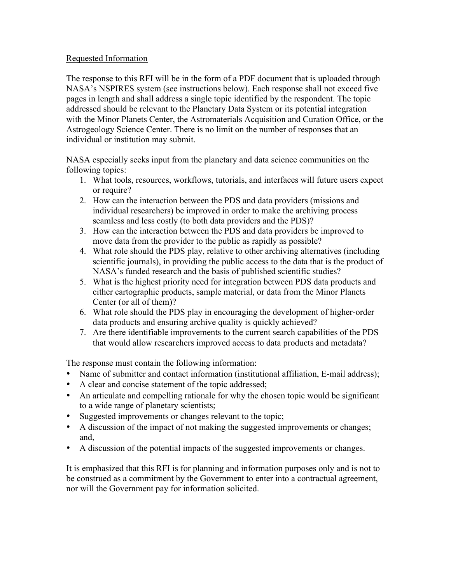# Requested Information

The response to this RFI will be in the form of a PDF document that is uploaded through NASA's NSPIRES system (see instructions below). Each response shall not exceed five pages in length and shall address a single topic identified by the respondent. The topic addressed should be relevant to the Planetary Data System or its potential integration with the Minor Planets Center, the Astromaterials Acquisition and Curation Office, or the Astrogeology Science Center. There is no limit on the number of responses that an individual or institution may submit.

NASA especially seeks input from the planetary and data science communities on the following topics:

- 1. What tools, resources, workflows, tutorials, and interfaces will future users expect or require?
- 2. How can the interaction between the PDS and data providers (missions and individual researchers) be improved in order to make the archiving process seamless and less costly (to both data providers and the PDS)?
- 3. How can the interaction between the PDS and data providers be improved to move data from the provider to the public as rapidly as possible?
- 4. What role should the PDS play, relative to other archiving alternatives (including scientific journals), in providing the public access to the data that is the product of NASA's funded research and the basis of published scientific studies?
- 5. What is the highest priority need for integration between PDS data products and either cartographic products, sample material, or data from the Minor Planets Center (or all of them)?
- 6. What role should the PDS play in encouraging the development of higher-order data products and ensuring archive quality is quickly achieved?
- 7. Are there identifiable improvements to the current search capabilities of the PDS that would allow researchers improved access to data products and metadata?

The response must contain the following information:

- Name of submitter and contact information (institutional affiliation, E-mail address);
- A clear and concise statement of the topic addressed;
- An articulate and compelling rationale for why the chosen topic would be significant to a wide range of planetary scientists;
- Suggested improvements or changes relevant to the topic;
- A discussion of the impact of not making the suggested improvements or changes; and,
- A discussion of the potential impacts of the suggested improvements or changes.

It is emphasized that this RFI is for planning and information purposes only and is not to be construed as a commitment by the Government to enter into a contractual agreement, nor will the Government pay for information solicited.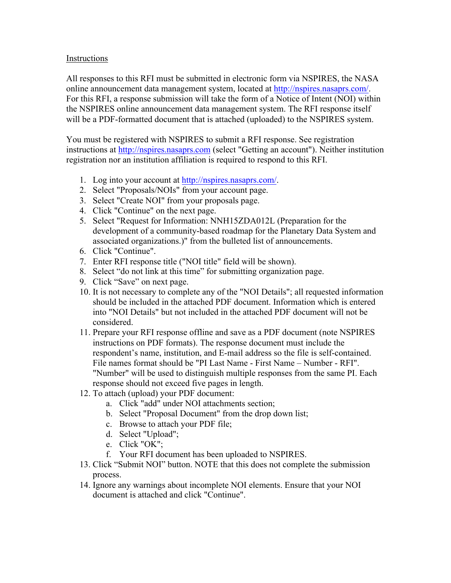# Instructions

All responses to this RFI must be submitted in electronic form via NSPIRES, the NASA online announcement data management system, located at http://nspires.nasaprs.com/. For this RFI, a response submission will take the form of a Notice of Intent (NOI) within the NSPIRES online announcement data management system. The RFI response itself will be a PDF-formatted document that is attached (uploaded) to the NSPIRES system.

You must be registered with NSPIRES to submit a RFI response. See registration instructions at http://nspires.nasaprs.com (select "Getting an account"). Neither institution registration nor an institution affiliation is required to respond to this RFI.

- 1. Log into your account at http://nspires.nasaprs.com/.
- 2. Select "Proposals/NOIs" from your account page.
- 3. Select "Create NOI" from your proposals page.
- 4. Click "Continue" on the next page.
- 5. Select "Request for Information: NNH15ZDA012L (Preparation for the development of a community-based roadmap for the Planetary Data System and associated organizations.)" from the bulleted list of announcements.
- 6. Click "Continue".
- 7. Enter RFI response title ("NOI title" field will be shown).
- 8. Select "do not link at this time" for submitting organization page.
- 9. Click "Save" on next page.
- 10. It is not necessary to complete any of the "NOI Details"; all requested information should be included in the attached PDF document. Information which is entered into "NOI Details" but not included in the attached PDF document will not be considered.
- 11. Prepare your RFI response offline and save as a PDF document (note NSPIRES instructions on PDF formats). The response document must include the respondent's name, institution, and E-mail address so the file is self-contained. File names format should be "PI Last Name - First Name – Number - RFI". "Number" will be used to distinguish multiple responses from the same PI. Each response should not exceed five pages in length.
- 12. To attach (upload) your PDF document:
	- a. Click "add" under NOI attachments section;
	- b. Select "Proposal Document" from the drop down list;
	- c. Browse to attach your PDF file;
	- d. Select "Upload";
	- e. Click "OK";
	- f. Your RFI document has been uploaded to NSPIRES.
- 13. Click "Submit NOI" button. NOTE that this does not complete the submission process.
- 14. Ignore any warnings about incomplete NOI elements. Ensure that your NOI document is attached and click "Continue".